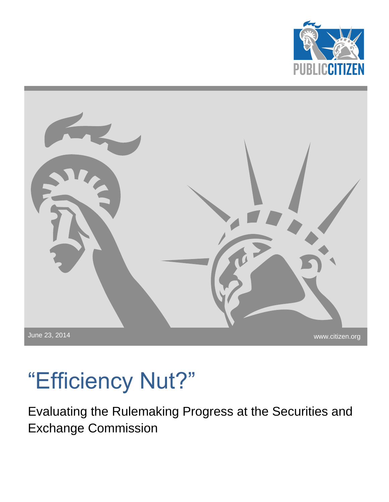



# "Efficiency Nut?"

Evaluating the Rulemaking Progress at the Securities and Exchange Commission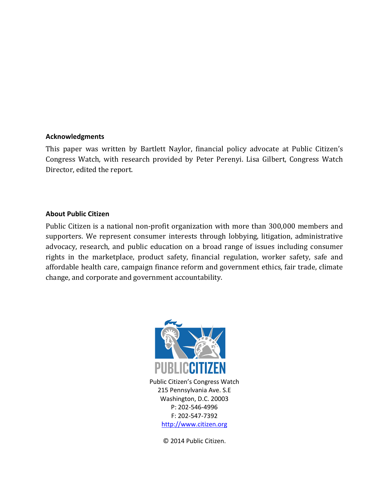#### **Acknowledgments**

This paper was written by Bartlett Naylor, financial policy advocate at Public Citizen's Congress Watch, with research provided by Peter Perenyi. Lisa Gilbert, Congress Watch Director, edited the report.

#### **About Public Citizen**

Public Citizen is a national non-profit organization with more than 300,000 members and supporters. We represent consumer interests through lobbying, litigation, administrative advocacy, research, and public education on a broad range of issues including consumer rights in the marketplace, product safety, financial regulation, worker safety, safe and affordable health care, campaign finance reform and government ethics, fair trade, climate change, and corporate and government accountability.



Public Citizen's Congress Watch 215 Pennsylvania Ave. S.E Washington, D.C. 20003 P: 202-546-4996 F: 202-547-7392 [http://www.citizen.org](http://www.citizen.org/)

© 2014 Public Citizen.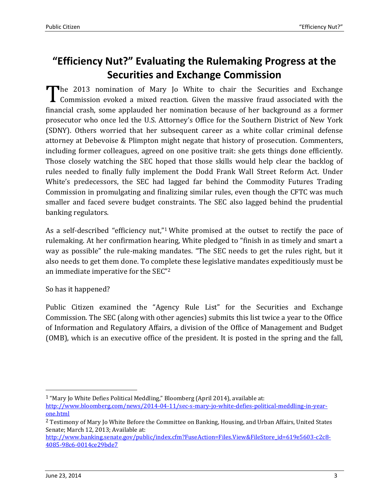## **"Efficiency Nut?" Evaluating the Rulemaking Progress at the Securities and Exchange Commission**

The 2013 nomination of Mary Jo White to chair the Securities and Exchange Commission evoked a mixed reaction. Given the massive fraud associated with the Commission evoked a mixed reaction. Given the massive fraud associated with the financial crash, some applauded her nomination because of her background as a former prosecutor who once led the U.S. Attorney's Office for the Southern District of New York (SDNY). Others worried that her subsequent career as a white collar criminal defense attorney at Debevoise & Plimpton might negate that history of prosecution. Commenters, including former colleagues, agreed on one positive trait: she gets things done efficiently. Those closely watching the SEC hoped that those skills would help clear the backlog of rules needed to finally fully implement the Dodd Frank Wall Street Reform Act. Under White's predecessors, the SEC had lagged far behind the Commodity Futures Trading Commission in promulgating and finalizing similar rules, even though the CFTC was much smaller and faced severe budget constraints. The SEC also lagged behind the prudential banking regulators.

As a self-described "efficiency nut,"<sup>1</sup> White promised at the outset to rectify the pace of rulemaking. At her confirmation hearing, White pledged to "finish in as timely and smart a way as possible" the rule-making mandates. "The SEC needs to get the rules right, but it also needs to get them done. To complete these legislative mandates expeditiously must be an immediate imperative for the SEC"<sup>2</sup>

### So has it happened?

Public Citizen examined the "Agency Rule List" for the Securities and Exchange Commission. The SEC (along with other agencies) submits this list twice a year to the Office of Information and Regulatory Affairs, a division of the Office of Management and Budget (OMB), which is an executive office of the president. It is posted in the spring and the fall,

 $\overline{a}$ 

<sup>&</sup>lt;sup>1</sup> "Mary Jo White Defies Political Meddling," Bloomberg (April 2014), available at:

[http://www.bloomberg.com/news/2014-04-11/sec-s-mary-jo-white-defies-political-meddling-in-year](http://www.bloomberg.com/news/2014-04-11/sec-s-mary-jo-white-defies-political-meddling-in-year-one.html)[one.html](http://www.bloomberg.com/news/2014-04-11/sec-s-mary-jo-white-defies-political-meddling-in-year-one.html)

<sup>2</sup> Testimony of Mary Jo White Before the Committee on Banking, Housing, and Urban Affairs, United States Senate; March 12, 2013; Available at:

[http://www.banking.senate.gov/public/index.cfm?FuseAction=Files.View&FileStore\\_id=619e5603-c2c8-](http://www.banking.senate.gov/public/index.cfm?FuseAction=Files.View&FileStore_id=619e5603-c2c8-4085-98c6-0014ce29bde7) [4085-98c6-0014ce29bde7](http://www.banking.senate.gov/public/index.cfm?FuseAction=Files.View&FileStore_id=619e5603-c2c8-4085-98c6-0014ce29bde7)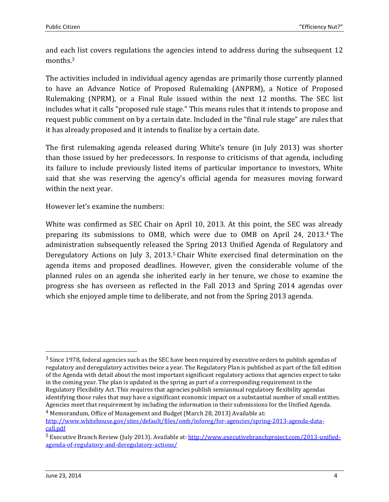and each list covers regulations the agencies intend to address during the subsequent 12 months.<sup>3</sup>

The activities included in individual agency agendas are primarily those currently planned to have an Advance Notice of Proposed Rulemaking (ANPRM), a Notice of Proposed Rulemaking (NPRM), or a Final Rule issued within the next 12 months. The SEC list includes what it calls "proposed rule stage." This means rules that it intends to propose and request public comment on by a certain date. Included in the "final rule stage" are rules that it has already proposed and it intends to finalize by a certain date.

The first rulemaking agenda released during White's tenure (in July 2013) was shorter than those issued by her predecessors. In response to criticisms of that agenda, including its failure to include previously listed items of particular importance to investors, White said that she was reserving the agency's official agenda for measures moving forward within the next year.

However let's examine the numbers:

White was confirmed as SEC Chair on April 10, 2013. At this point, the SEC was already preparing its submissions to OMB, which were due to OMB on April 24, 2013.<sup>4</sup> The administration subsequently released the Spring 2013 Unified Agenda of Regulatory and Deregulatory Actions on July 3, 2013.<sup>5</sup> Chair White exercised final determination on the agenda items and proposed deadlines. However, given the considerable volume of the planned rules on an agenda she inherited early in her tenure, we chose to examine the progress she has overseen as reflected in the Fall 2013 and Spring 2014 agendas over which she enjoyed ample time to deliberate, and not from the Spring 2013 agenda.

 $\overline{\phantom{0}}$ 

<sup>3</sup> Since 1978, federal agencies such as the SEC have been required by executive orders to publish agendas of regulatory and deregulatory activities twice a year. The Regulatory Plan is published as part of the fall edition of the Agenda with detail about the most important significant regulatory actions that agencies expect to take in the coming year. The plan is updated in the spring as part of a corresponding requirement in the Regulatory Flexibility Act. This requires that agencies publish semiannual regulatory flexibility agendas identifying those rules that may have a significant economic impact on a substantial number of small entities. Agencies meet that requirement by including the information in their submissions for the Unified Agenda.

<sup>4</sup> Memorandum, Office of Management and Budget (March 28, 2013) Available at: [http://www.whitehouse.gov/sites/default/files/omb/inforeg/for-agencies/spring-2013-agenda-data](http://www.whitehouse.gov/sites/default/files/omb/inforeg/for-agencies/spring-2013-agenda-data-call.pdf)[call.pdf](http://www.whitehouse.gov/sites/default/files/omb/inforeg/for-agencies/spring-2013-agenda-data-call.pdf)

<sup>5</sup> Executive Branch Review (July 2013). Available at[: http://www.executivebranchproject.com/2013-unified](http://www.executivebranchproject.com/2013-unified-agenda-of-regulatory-and-deregulatory-actions/)[agenda-of-regulatory-and-deregulatory-actions/](http://www.executivebranchproject.com/2013-unified-agenda-of-regulatory-and-deregulatory-actions/)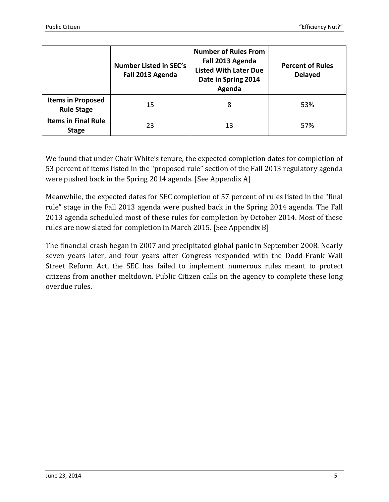|                                               | <b>Number Listed in SEC's</b><br>Fall 2013 Agenda | <b>Number of Rules From</b><br>Fall 2013 Agenda<br><b>Listed With Later Due</b><br>Date in Spring 2014<br>Agenda | <b>Percent of Rules</b><br><b>Delayed</b> |
|-----------------------------------------------|---------------------------------------------------|------------------------------------------------------------------------------------------------------------------|-------------------------------------------|
| <b>Items in Proposed</b><br><b>Rule Stage</b> | 15                                                | 8                                                                                                                | 53%                                       |
| <b>Items in Final Rule</b><br><b>Stage</b>    | 23                                                | 13                                                                                                               | 57%                                       |

We found that under Chair White's tenure, the expected completion dates for completion of 53 percent of items listed in the "proposed rule" section of the Fall 2013 regulatory agenda were pushed back in the Spring 2014 agenda. [See Appendix A]

Meanwhile, the expected dates for SEC completion of 57 percent of rules listed in the "final rule" stage in the Fall 2013 agenda were pushed back in the Spring 2014 agenda. The Fall 2013 agenda scheduled most of these rules for completion by October 2014. Most of these rules are now slated for completion in March 2015. [See Appendix B]

The financial crash began in 2007 and precipitated global panic in September 2008. Nearly seven years later, and four years after Congress responded with the Dodd-Frank Wall Street Reform Act, the SEC has failed to implement numerous rules meant to protect citizens from another meltdown. Public Citizen calls on the agency to complete these long overdue rules.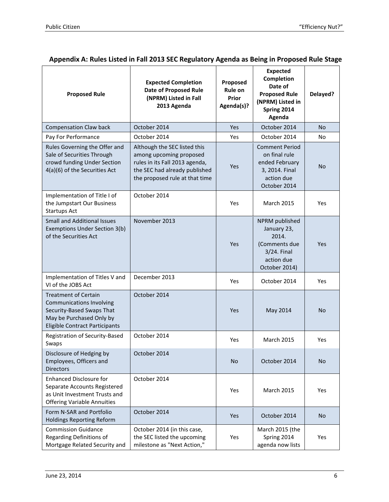| Appendix A: Rules Listed in Fall 2013 SEC Regulatory Agenda as Being in Proposed Rule Stage |  |  |  |
|---------------------------------------------------------------------------------------------|--|--|--|
|---------------------------------------------------------------------------------------------|--|--|--|

| <b>Proposed Rule</b>                                                                                                                                             | <b>Expected Completion</b><br><b>Date of Proposed Rule</b><br>(NPRM) Listed in Fall<br>2013 Agenda                                                           | Proposed<br>Rule on<br>Prior<br>Agenda(s)? | <b>Expected</b><br><b>Completion</b><br>Date of<br><b>Proposed Rule</b><br>(NPRM) Listed in<br>Spring 2014<br>Agenda | Delayed?       |
|------------------------------------------------------------------------------------------------------------------------------------------------------------------|--------------------------------------------------------------------------------------------------------------------------------------------------------------|--------------------------------------------|----------------------------------------------------------------------------------------------------------------------|----------------|
| <b>Compensation Claw back</b>                                                                                                                                    | October 2014                                                                                                                                                 | Yes                                        | October 2014                                                                                                         | No.            |
| Pay For Performance                                                                                                                                              | October 2014                                                                                                                                                 | Yes                                        | October 2014                                                                                                         | No             |
| Rules Governing the Offer and<br>Sale of Securities Through<br>crowd funding Under Section<br>4(a)(6) of the Securities Act                                      | Although the SEC listed this<br>among upcoming proposed<br>rules in its Fall 2013 agenda,<br>the SEC had already published<br>the proposed rule at that time | Yes                                        | <b>Comment Period</b><br>on final rule<br>ended February<br>3, 2014. Final<br>action due<br>October 2014             | N <sub>o</sub> |
| Implementation of Title I of<br>the Jumpstart Our Business<br><b>Startups Act</b>                                                                                | October 2014                                                                                                                                                 | Yes                                        | <b>March 2015</b>                                                                                                    | Yes            |
| <b>Small and Additional Issues</b><br>Exemptions Under Section 3(b)<br>of the Securities Act                                                                     | November 2013                                                                                                                                                | Yes                                        | NPRM published<br>January 23,<br>2014.<br>(Comments due<br>3/24. Final<br>action due<br>October 2014)                | <b>Yes</b>     |
| Implementation of Titles V and<br>VI of the JOBS Act                                                                                                             | December 2013                                                                                                                                                | Yes                                        | October 2014                                                                                                         | Yes            |
| <b>Treatment of Certain</b><br><b>Communications Involving</b><br>Security-Based Swaps That<br>May be Purchased Only by<br><b>Eligible Contract Participants</b> | October 2014                                                                                                                                                 | Yes                                        | May 2014                                                                                                             | No             |
| Registration of Security-Based<br>Swaps                                                                                                                          | October 2014                                                                                                                                                 | Yes                                        | <b>March 2015</b>                                                                                                    | Yes            |
| Disclosure of Hedging by<br>Employees, Officers and<br><b>Directors</b>                                                                                          | October 2014                                                                                                                                                 | <b>No</b>                                  | October 2014                                                                                                         | <b>No</b>      |
| <b>Enhanced Disclosure for</b><br>Separate Accounts Registered<br>as Unit Investment Trusts and<br><b>Offering Variable Annuities</b>                            | October 2014                                                                                                                                                 | Yes                                        | <b>March 2015</b>                                                                                                    | Yes            |
| Form N-SAR and Portfolio<br><b>Holdings Reporting Reform</b>                                                                                                     | October 2014                                                                                                                                                 | Yes                                        | October 2014                                                                                                         | <b>No</b>      |
| <b>Commission Guidance</b><br>Regarding Definitions of<br>Mortgage Related Security and                                                                          | October 2014 (in this case,<br>the SEC listed the upcoming<br>milestone as "Next Action,"                                                                    | Yes                                        | March 2015 (the<br>Spring 2014<br>agenda now lists                                                                   | Yes            |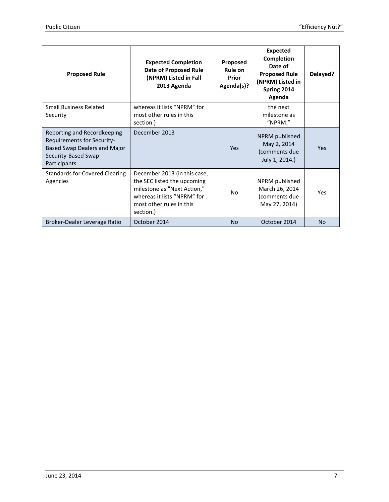| <b>Proposed Rule</b>                                                                                                                    | <b>Expected Completion</b><br><b>Date of Proposed Rule</b><br>(NPRM) Listed in Fall<br>2013 Agenda                                                                 | Proposed<br>Rule on<br>Prior<br>Agenda(s)? | <b>Expected</b><br>Completion<br>Date of<br><b>Proposed Rule</b><br>(NPRM) Listed in<br>Spring 2014<br>Agenda | Delayed?  |
|-----------------------------------------------------------------------------------------------------------------------------------------|--------------------------------------------------------------------------------------------------------------------------------------------------------------------|--------------------------------------------|---------------------------------------------------------------------------------------------------------------|-----------|
| <b>Small Business Related</b><br>Security                                                                                               | whereas it lists "NPRM" for<br>most other rules in this<br>section.)                                                                                               |                                            | the next<br>milestone as<br>"NPRM."                                                                           |           |
| Reporting and Recordkeeping<br><b>Requirements for Security-</b><br>Based Swap Dealers and Major<br>Security-Based Swap<br>Participants | December 2013                                                                                                                                                      | <b>Yes</b>                                 | NPRM published<br>May 2, 2014<br>(comments due<br>July 1, 2014.)                                              | Yes       |
| <b>Standards for Covered Clearing</b><br>Agencies                                                                                       | December 2013 (in this case,<br>the SEC listed the upcoming<br>milestone as "Next Action,"<br>whereas it lists "NPRM" for<br>most other rules in this<br>section.) | No.                                        | NPRM published<br>March 26, 2014<br>(comments due<br>May 27, 2014)                                            | Yes       |
| Broker-Dealer Leverage Ratio                                                                                                            | October 2014                                                                                                                                                       | <b>No</b>                                  | October 2014                                                                                                  | <b>No</b> |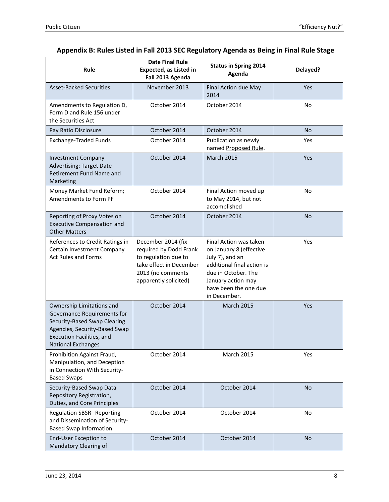| Rule                                                                                                                                                                                | <b>Date Final Rule</b><br><b>Expected, as Listed in</b><br>Fall 2013 Agenda                                                                   | <b>Status in Spring 2014</b><br>Agenda                                                                                                                                                   | Delayed?  |
|-------------------------------------------------------------------------------------------------------------------------------------------------------------------------------------|-----------------------------------------------------------------------------------------------------------------------------------------------|------------------------------------------------------------------------------------------------------------------------------------------------------------------------------------------|-----------|
| <b>Asset-Backed Securities</b>                                                                                                                                                      | November 2013                                                                                                                                 | Final Action due May<br>2014                                                                                                                                                             | Yes       |
| Amendments to Regulation D,<br>Form D and Rule 156 under<br>the Securities Act                                                                                                      | October 2014                                                                                                                                  | October 2014                                                                                                                                                                             | <b>No</b> |
| Pay Ratio Disclosure                                                                                                                                                                | October 2014                                                                                                                                  | October 2014                                                                                                                                                                             | <b>No</b> |
| <b>Exchange-Traded Funds</b>                                                                                                                                                        | October 2014                                                                                                                                  | Publication as newly<br>named Proposed Rule.                                                                                                                                             | Yes       |
| <b>Investment Company</b><br><b>Advertising: Target Date</b><br>Retirement Fund Name and<br>Marketing                                                                               | October 2014                                                                                                                                  | <b>March 2015</b>                                                                                                                                                                        | Yes       |
| Money Market Fund Reform;<br>Amendments to Form PF                                                                                                                                  | October 2014                                                                                                                                  | Final Action moved up<br>to May 2014, but not<br>accomplished                                                                                                                            | No        |
| Reporting of Proxy Votes on<br><b>Executive Compensation and</b><br><b>Other Matters</b>                                                                                            | October 2014                                                                                                                                  | October 2014                                                                                                                                                                             | <b>No</b> |
| References to Credit Ratings in<br>Certain Investment Company<br><b>Act Rules and Forms</b>                                                                                         | December 2014 (fix<br>required by Dodd Frank<br>to regulation due to<br>take effect in December<br>2013 (no comments<br>apparently solicited) | Final Action was taken<br>on January 8 (effective<br>July 7), and an<br>additional final action is<br>due in October. The<br>January action may<br>have been the one due<br>in December. | Yes       |
| Ownership Limitations and<br>Governance Requirements for<br>Security-Based Swap Clearing<br>Agencies, Security-Based Swap<br>Execution Facilities, and<br><b>National Exchanges</b> | October 2014                                                                                                                                  | <b>March 2015</b>                                                                                                                                                                        | Yes       |
| Prohibition Against Fraud,<br>Manipulation, and Deception<br>in Connection With Security-<br><b>Based Swaps</b>                                                                     | October 2014                                                                                                                                  | <b>March 2015</b>                                                                                                                                                                        | Yes       |
| Security-Based Swap Data<br>Repository Registration,<br>Duties, and Core Principles                                                                                                 | October 2014                                                                                                                                  | October 2014                                                                                                                                                                             | <b>No</b> |
| <b>Regulation SBSR--Reporting</b><br>and Dissemination of Security-<br><b>Based Swap Information</b>                                                                                | October 2014                                                                                                                                  | October 2014                                                                                                                                                                             | No        |
| End-User Exception to<br>Mandatory Clearing of                                                                                                                                      | October 2014                                                                                                                                  | October 2014                                                                                                                                                                             | <b>No</b> |